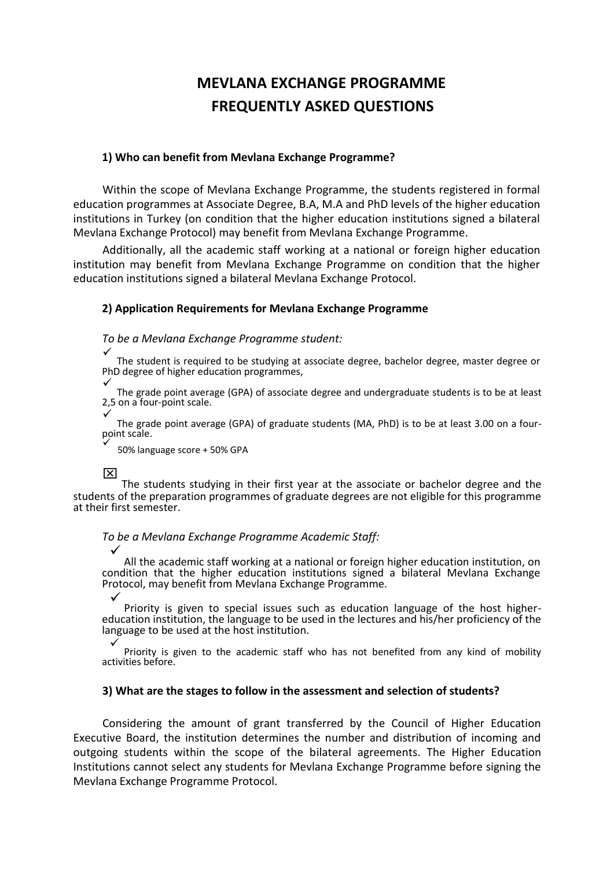# **MEVLANA EXCHANGE PROGRAMME FREQUENTLY ASKED QUESTIONS**

#### **1) Who can benefit from Mevlana Exchange Programme?**

Within the scope of Mevlana Exchange Programme, the students registered in formal education programmes at Associate Degree, B.A, M.A and PhD levels of the higher education institutions in Turkey (on condition that the higher education institutions signed a bilateral Mevlana Exchange Protocol) may benefit from Mevlana Exchange Programme.

Additionally, all the academic staff working at a national or foreign higher education institution may benefit from Mevlana Exchange Programme on condition that the higher education institutions signed a bilateral Mevlana Exchange Protocol.

#### **2) Application Requirements for Mevlana Exchange Programme**

#### *To be a Mevlana Exchange Programme student:*

 $\checkmark$ The student is required to be studying at associate degree, bachelor degree, master degree or PhD degree of higher education programmes,

 $\checkmark$ The grade point average (GPA) of associate degree and undergraduate students is to be at least 2,5 on a four-point scale.

 $\checkmark$ The grade point average (GPA) of graduate students (MA, PhD) is to be at least 3.00 on a fourpoint scale.

 $\checkmark$ 50% language score + 50% GPA

 $\overline{\mathsf{x}}$ 

The students studying in their first year at the associate or bachelor degree and the students of the preparation programmes of graduate degrees are not eligible for this programme at their first semester.

*To be a Mevlana Exchange Programme Academic Staff:*

 $\checkmark$ All the academic staff working at a national or foreign higher education institution, on condition that the higher education institutions signed a bilateral Mevlana Exchange Protocol, may benefit from Mevlana Exchange Programme.

 $\checkmark$ 

Priority is given to special issues such as education language of the host highereducation institution, the language to be used in the lectures and his/her proficiency of the language to be used at the host institution.

 $\checkmark$ Priority is given to the academic staff who has not benefited from any kind of mobility activities before.

#### **3) What are the stages to follow in the assessment and selection of students?**

Considering the amount of grant transferred by the Council of Higher Education Executive Board, the institution determines the number and distribution of incoming and outgoing students within the scope of the bilateral agreements. The Higher Education Institutions cannot select any students for Mevlana Exchange Programme before signing the Mevlana Exchange Programme Protocol.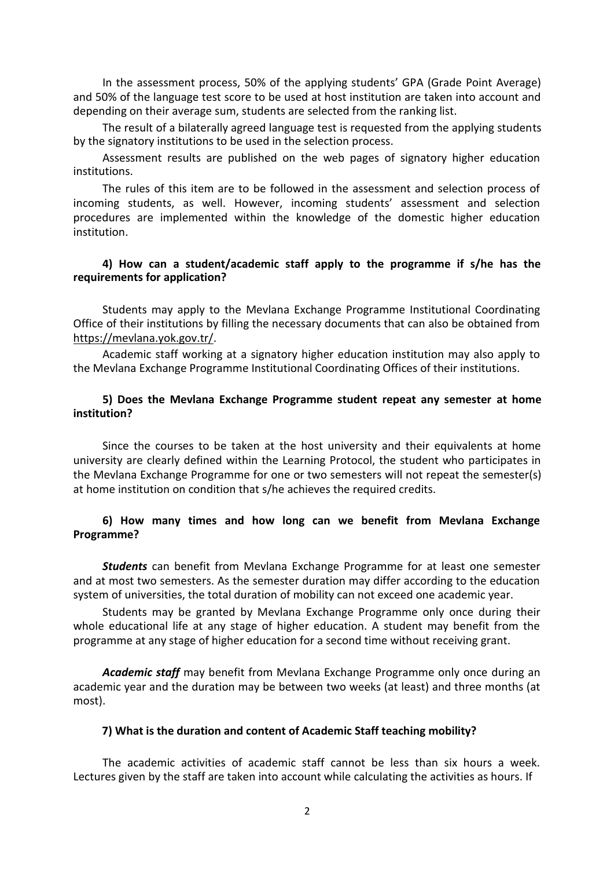In the assessment process, 50% of the applying students' GPA (Grade Point Average) and 50% of the language test score to be used at host institution are taken into account and depending on their average sum, students are selected from the ranking list.

The result of a bilaterally agreed language test is requested from the applying students by the signatory institutions to be used in the selection process.

Assessment results are published on the web pages of signatory higher education institutions.

The rules of this item are to be followed in the assessment and selection process of incoming students, as well. However, incoming students' assessment and selection procedures are implemented within the knowledge of the domestic higher education institution.

#### **4) How can a student/academic staff apply to the programme if s/he has the requirements for application?**

Students may apply to the Mevlana Exchange Programme Institutional Coordinating Office of their institutions by filling the necessary documents that can also be obtained from [https://mevlana.yok.gov.tr/.](https://mevlana.yok.gov.tr/)

Academic staff working at a signatory higher education institution may also apply to the Mevlana Exchange Programme Institutional Coordinating Offices of their institutions.

#### **5) Does the Mevlana Exchange Programme student repeat any semester at home institution?**

Since the courses to be taken at the host university and their equivalents at home university are clearly defined within the Learning Protocol, the student who participates in the Mevlana Exchange Programme for one or two semesters will not repeat the semester(s) at home institution on condition that s/he achieves the required credits.

#### **6) How many times and how long can we benefit from Mevlana Exchange Programme?**

*Students* can benefit from Mevlana Exchange Programme for at least one semester and at most two semesters. As the semester duration may differ according to the education system of universities, the total duration of mobility can not exceed one academic year.

Students may be granted by Mevlana Exchange Programme only once during their whole educational life at any stage of higher education. A student may benefit from the programme at any stage of higher education for a second time without receiving grant.

*Academic staff* may benefit from Mevlana Exchange Programme only once during an academic year and the duration may be between two weeks (at least) and three months (at most).

#### **7) What is the duration and content of Academic Staff teaching mobility?**

The academic activities of academic staff cannot be less than six hours a week. Lectures given by the staff are taken into account while calculating the activities as hours. If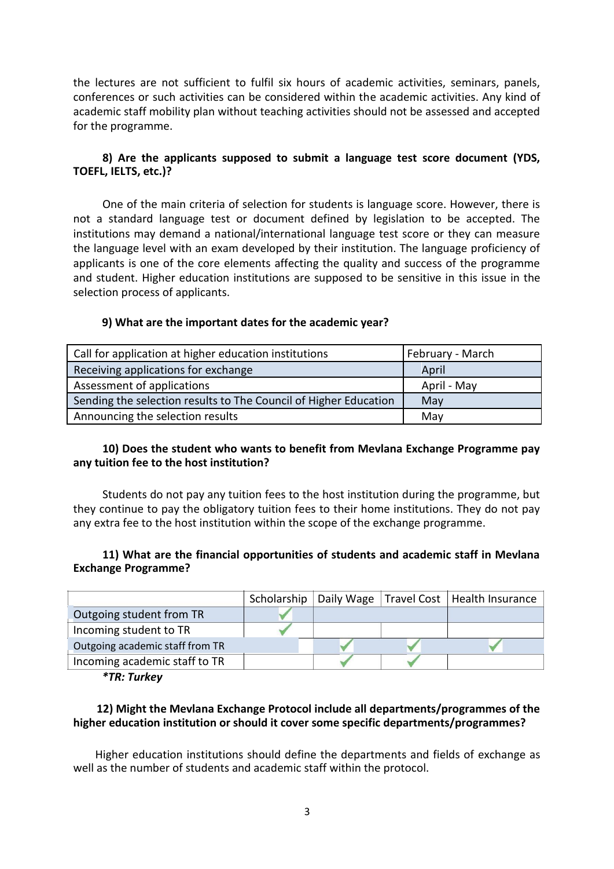the lectures are not sufficient to fulfil six hours of academic activities, seminars, panels, conferences or such activities can be considered within the academic activities. Any kind of academic staff mobility plan without teaching activities should not be assessed and accepted for the programme.

# **8) Are the applicants supposed to submit a language test score document (YDS, TOEFL, IELTS, etc.)?**

One of the main criteria of selection for students is language score. However, there is not a standard language test or document defined by legislation to be accepted. The institutions may demand a national/international language test score or they can measure the language level with an exam developed by their institution. The language proficiency of applicants is one of the core elements affecting the quality and success of the programme and student. Higher education institutions are supposed to be sensitive in this issue in the selection process of applicants.

# **9) What are the important dates for the academic year?**

| Call for application at higher education institutions            | February - March |
|------------------------------------------------------------------|------------------|
| Receiving applications for exchange                              | April            |
| Assessment of applications                                       | April - May      |
| Sending the selection results to The Council of Higher Education | May              |
| Announcing the selection results                                 | May              |

#### **10) Does the student who wants to benefit from Mevlana Exchange Programme pay any tuition fee to the host institution?**

Students do not pay any tuition fees to the host institution during the programme, but they continue to pay the obligatory tuition fees to their home institutions. They do not pay any extra fee to the host institution within the scope of the exchange programme.

#### **11) What are the financial opportunities of students and academic staff in Mevlana Exchange Programme?**

|                                 | Scholarship |  | Daily Wage   Travel Cost   Health Insurance |
|---------------------------------|-------------|--|---------------------------------------------|
| Outgoing student from TR        |             |  |                                             |
| Incoming student to TR          |             |  |                                             |
| Outgoing academic staff from TR |             |  |                                             |
| Incoming academic staff to TR   |             |  |                                             |
|                                 |             |  |                                             |

*\*TR: Turkey*

# **12) Might the Mevlana Exchange Protocol include all departments/programmes of the higher education institution or should it cover some specific departments/programmes?**

Higher education institutions should define the departments and fields of exchange as well as the number of students and academic staff within the protocol.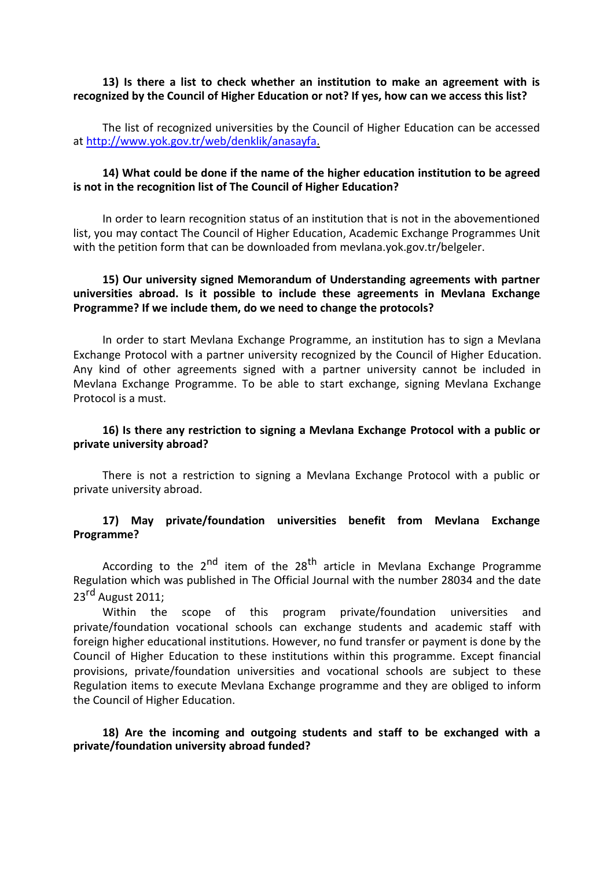#### **13) Is there a list to check whether an institution to make an agreement with is recognized by the Council of Higher Education or not? If yes, how can we access this list?**

The list of recognized universities by the Council of Higher Education can be accessed at [http://www.yok.gov.tr/web/denklik/anasayfa.](http://www.yok.gov.tr/web/denklik/anasayfa)

#### **14) What could be done if the name of the higher education institution to be agreed is not in the recognition list of The Council of Higher Education?**

In order to learn recognition status of an institution that is not in the abovementioned list, you may contact The Council of Higher Education, Academic Exchange Programmes Unit with the petition form that can be downloaded from mevlana.yok.gov.tr/belgeler.

# **15) Our university signed Memorandum of Understanding agreements with partner universities abroad. Is it possible to include these agreements in Mevlana Exchange Programme? If we include them, do we need to change the protocols?**

In order to start Mevlana Exchange Programme, an institution has to sign a Mevlana Exchange Protocol with a partner university recognized by the Council of Higher Education. Any kind of other agreements signed with a partner university cannot be included in Mevlana Exchange Programme. To be able to start exchange, signing Mevlana Exchange Protocol is a must.

#### **16) Is there any restriction to signing a Mevlana Exchange Protocol with a public or private university abroad?**

There is not a restriction to signing a Mevlana Exchange Protocol with a public or private university abroad.

#### **17) May private/foundation universities benefit from Mevlana Exchange Programme?**

According to the  $2<sup>nd</sup>$  item of the  $28<sup>th</sup>$  article in Mevlana Exchange Programme Regulation which was published in The Official Journal with the number 28034 and the date  $23<sup>rd</sup>$  August 2011;

Within the scope of this program private/foundation universities and private/foundation vocational schools can exchange students and academic staff with foreign higher educational institutions. However, no fund transfer or payment is done by the Council of Higher Education to these institutions within this programme. Except financial provisions, private/foundation universities and vocational schools are subject to these Regulation items to execute Mevlana Exchange programme and they are obliged to inform the Council of Higher Education.

#### **18) Are the incoming and outgoing students and staff to be exchanged with a private/foundation university abroad funded?**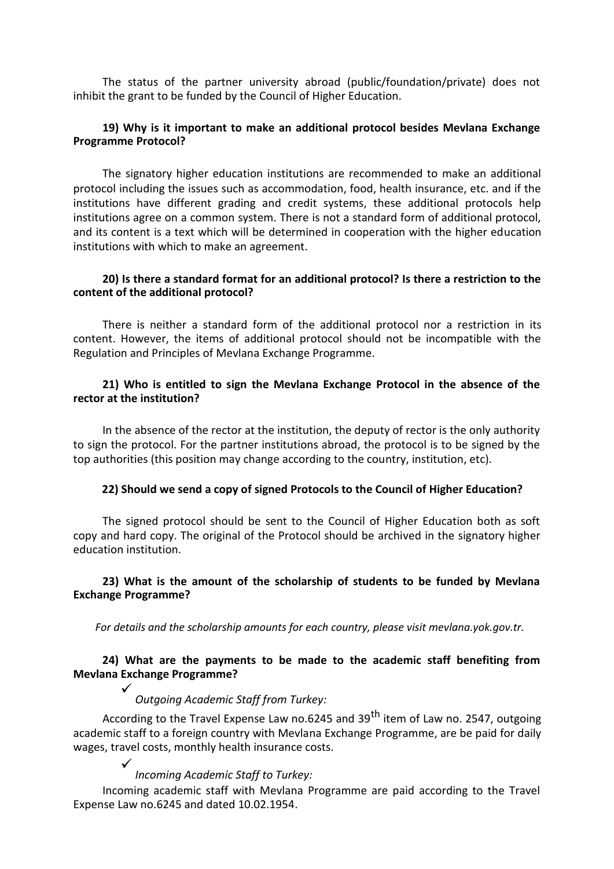The status of the partner university abroad (public/foundation/private) does not inhibit the grant to be funded by the Council of Higher Education.

#### **19) Why is it important to make an additional protocol besides Mevlana Exchange Programme Protocol?**

The signatory higher education institutions are recommended to make an additional protocol including the issues such as accommodation, food, health insurance, etc. and if the institutions have different grading and credit systems, these additional protocols help institutions agree on a common system. There is not a standard form of additional protocol, and its content is a text which will be determined in cooperation with the higher education institutions with which to make an agreement.

#### **20) Is there a standard format for an additional protocol? Is there a restriction to the content of the additional protocol?**

There is neither a standard form of the additional protocol nor a restriction in its content. However, the items of additional protocol should not be incompatible with the Regulation and Principles of Mevlana Exchange Programme.

### **21) Who is entitled to sign the Mevlana Exchange Protocol in the absence of the rector at the institution?**

In the absence of the rector at the institution, the deputy of rector is the only authority to sign the protocol. For the partner institutions abroad, the protocol is to be signed by the top authorities (this position may change according to the country, institution, etc).

#### **22) Should we send a copy of signed Protocols to the Council of Higher Education?**

The signed protocol should be sent to the Council of Higher Education both as soft copy and hard copy. The original of the Protocol should be archived in the signatory higher education institution.

#### **23) What is the amount of the scholarship of students to be funded by Mevlana Exchange Programme?**

*For details and the scholarship amounts for each country, please visit mevlana.yok.gov.tr.*

# **24) What are the payments to be made to the academic staff benefiting from Mevlana Exchange Programme?**

# $\checkmark$

*Outgoing Academic Staff from Turkey:*

According to the Travel Expense Law no.6245 and 39<sup>th</sup> item of Law no. 2547, outgoing academic staff to a foreign country with Mevlana Exchange Programme, are be paid for daily wages, travel costs, monthly health insurance costs.

> $\checkmark$ *Incoming Academic Staff to Turkey:*

Incoming academic staff with Mevlana Programme are paid according to the Travel Expense Law no.6245 and dated 10.02.1954.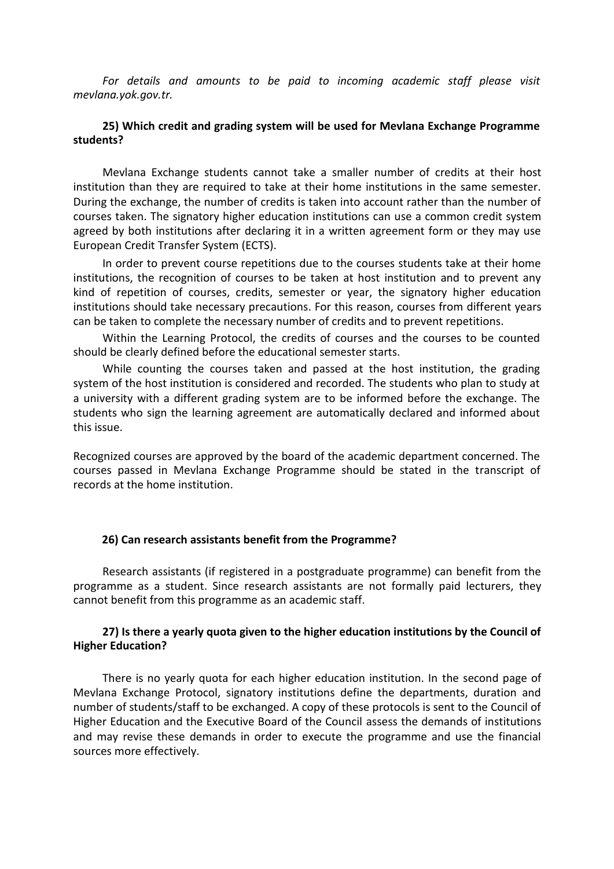*For details and amounts to be paid to incoming academic staff please visit mevlana.yok.gov.tr.*

#### **25) Which credit and grading system will be used for Mevlana Exchange Programme students?**

Mevlana Exchange students cannot take a smaller number of credits at their host institution than they are required to take at their home institutions in the same semester. During the exchange, the number of credits is taken into account rather than the number of courses taken. The signatory higher education institutions can use a common credit system agreed by both institutions after declaring it in a written agreement form or they may use European Credit Transfer System (ECTS).

In order to prevent course repetitions due to the courses students take at their home institutions, the recognition of courses to be taken at host institution and to prevent any kind of repetition of courses, credits, semester or year, the signatory higher education institutions should take necessary precautions. For this reason, courses from different years can be taken to complete the necessary number of credits and to prevent repetitions.

Within the Learning Protocol, the credits of courses and the courses to be counted should be clearly defined before the educational semester starts.

While counting the courses taken and passed at the host institution, the grading system of the host institution is considered and recorded. The students who plan to study at a university with a different grading system are to be informed before the exchange. The students who sign the learning agreement are automatically declared and informed about this issue.

Recognized courses are approved by the board of the academic department concerned. The courses passed in Mevlana Exchange Programme should be stated in the transcript of records at the home institution.

#### **26) Can research assistants benefit from the Programme?**

Research assistants (if registered in a postgraduate programme) can benefit from the programme as a student. Since research assistants are not formally paid lecturers, they cannot benefit from this programme as an academic staff.

#### **27) Is there a yearly quota given to the higher education institutions by the Council of Higher Education?**

There is no yearly quota for each higher education institution. In the second page of Mevlana Exchange Protocol, signatory institutions define the departments, duration and number of students/staff to be exchanged. A copy of these protocols is sent to the Council of Higher Education and the Executive Board of the Council assess the demands of institutions and may revise these demands in order to execute the programme and use the financial sources more effectively.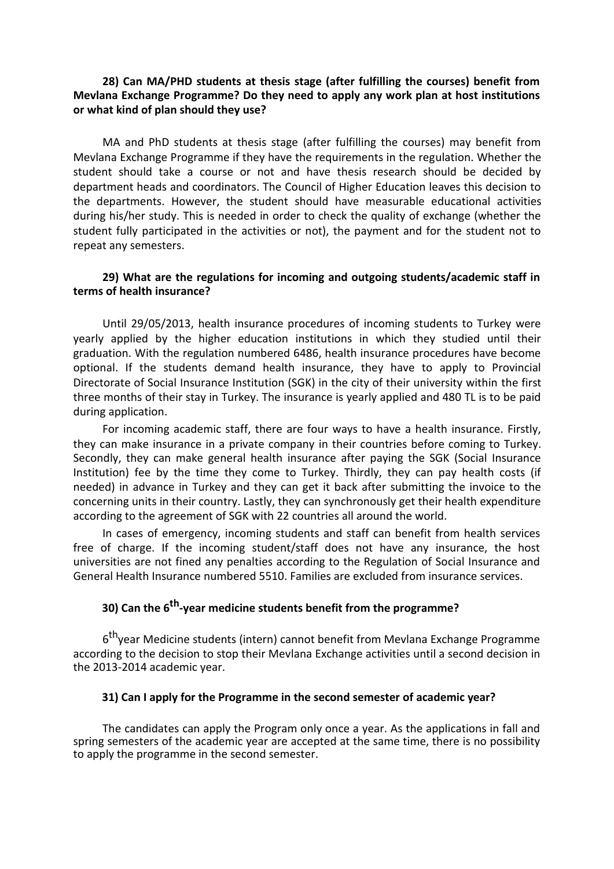#### **28) Can MA/PHD students at thesis stage (after fulfilling the courses) benefit from Mevlana Exchange Programme? Do they need to apply any work plan at host institutions or what kind of plan should they use?**

MA and PhD students at thesis stage (after fulfilling the courses) may benefit from Mevlana Exchange Programme if they have the requirements in the regulation. Whether the student should take a course or not and have thesis research should be decided by department heads and coordinators. The Council of Higher Education leaves this decision to the departments. However, the student should have measurable educational activities during his/her study. This is needed in order to check the quality of exchange (whether the student fully participated in the activities or not), the payment and for the student not to repeat any semesters.

#### **29) What are the regulations for incoming and outgoing students/academic staff in terms of health insurance?**

Until 29/05/2013, health insurance procedures of incoming students to Turkey were yearly applied by the higher education institutions in which they studied until their graduation. With the regulation numbered 6486, health insurance procedures have become optional. If the students demand health insurance, they have to apply to Provincial Directorate of Social Insurance Institution (SGK) in the city of their university within the first three months of their stay in Turkey. The insurance is yearly applied and 480 TL is to be paid during application.

For incoming academic staff, there are four ways to have a health insurance. Firstly, they can make insurance in a private company in their countries before coming to Turkey. Secondly, they can make general health insurance after paying the SGK (Social Insurance Institution) fee by the time they come to Turkey. Thirdly, they can pay health costs (if needed) in advance in Turkey and they can get it back after submitting the invoice to the concerning units in their country. Lastly, they can synchronously get their health expenditure according to the agreement of SGK with 22 countries all around the world.

In cases of emergency, incoming students and staff can benefit from health services free of charge. If the incoming student/staff does not have any insurance, the host universities are not fined any penalties according to the Regulation of Social Insurance and General Health Insurance numbered 5510. Families are excluded from insurance services.

# **30) Can the 6th -year medicine students benefit from the programme?**

6<sup>th</sup>year Medicine students (intern) cannot benefit from Mevlana Exchange Programme according to the decision to stop their Mevlana Exchange activities until a second decision in the 2013-2014 academic year.

#### **31) Can I apply for the Programme in the second semester of academic year?**

The candidates can apply the Program only once a year. As the applications in fall and spring semesters of the academic year are accepted at the same time, there is no possibility to apply the programme in the second semester.